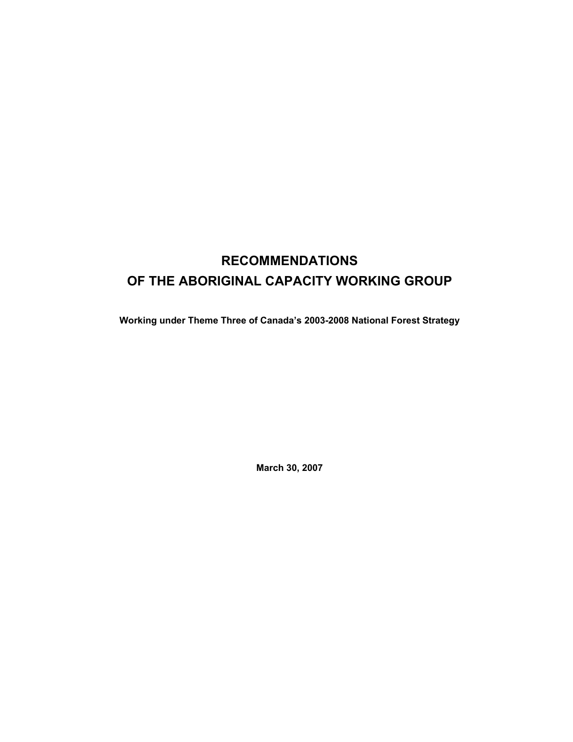## **RECOMMENDATIONS OF THE ABORIGINAL CAPACITY WORKING GROUP**

**Working under Theme Three of Canada's 2003-2008 National Forest Strategy** 

**March 30, 2007**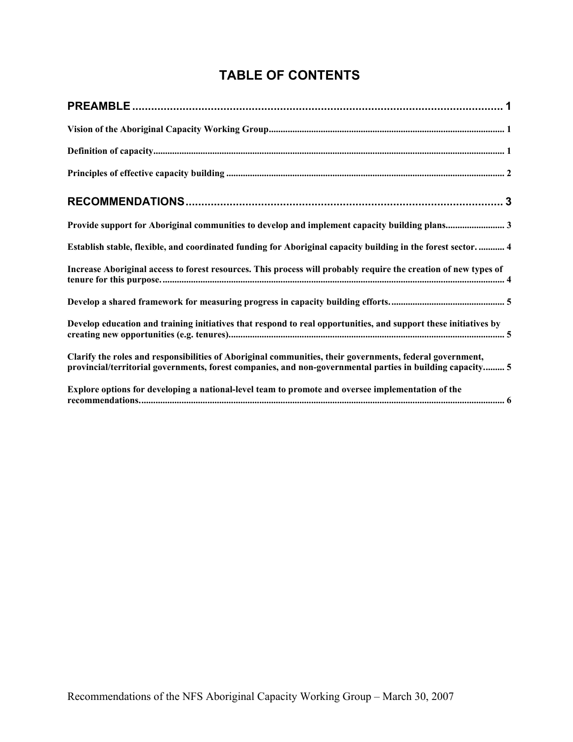## **TABLE OF CONTENTS**

| Provide support for Aboriginal communities to develop and implement capacity building plans3                                                                                                                          |
|-----------------------------------------------------------------------------------------------------------------------------------------------------------------------------------------------------------------------|
| Establish stable, flexible, and coordinated funding for Aboriginal capacity building in the forest sector.  4                                                                                                         |
| Increase Aboriginal access to forest resources. This process will probably require the creation of new types of                                                                                                       |
|                                                                                                                                                                                                                       |
| Develop education and training initiatives that respond to real opportunities, and support these initiatives by                                                                                                       |
| Clarify the roles and responsibilities of Aboriginal communities, their governments, federal government,<br>provincial/territorial governments, forest companies, and non-governmental parties in building capacity 5 |
| Explore options for developing a national-level team to promote and oversee implementation of the                                                                                                                     |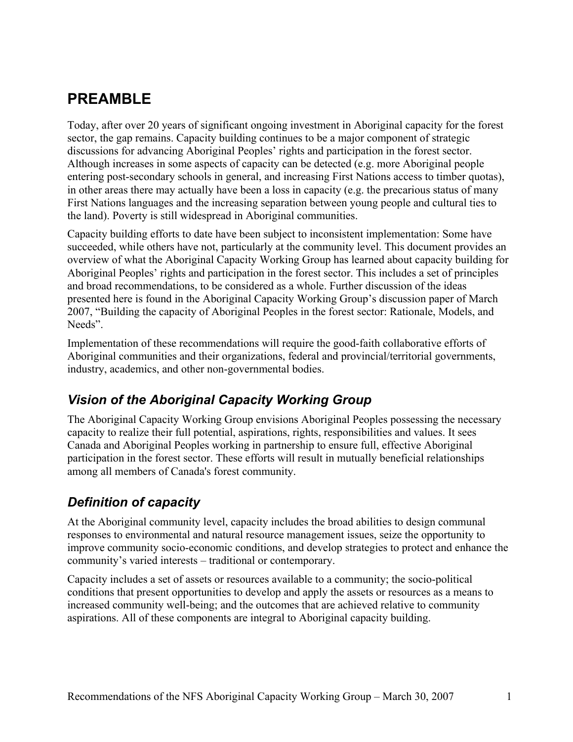# **PREAMBLE**

Today, after over 20 years of significant ongoing investment in Aboriginal capacity for the forest sector, the gap remains. Capacity building continues to be a major component of strategic discussions for advancing Aboriginal Peoples' rights and participation in the forest sector. Although increases in some aspects of capacity can be detected (e.g. more Aboriginal people entering post-secondary schools in general, and increasing First Nations access to timber quotas), in other areas there may actually have been a loss in capacity (e.g. the precarious status of many First Nations languages and the increasing separation between young people and cultural ties to the land). Poverty is still widespread in Aboriginal communities.

Capacity building efforts to date have been subject to inconsistent implementation: Some have succeeded, while others have not, particularly at the community level. This document provides an overview of what the Aboriginal Capacity Working Group has learned about capacity building for Aboriginal Peoples' rights and participation in the forest sector. This includes a set of principles and broad recommendations, to be considered as a whole. Further discussion of the ideas presented here is found in the Aboriginal Capacity Working Group's discussion paper of March 2007, "Building the capacity of Aboriginal Peoples in the forest sector: Rationale, Models, and Needs".

Implementation of these recommendations will require the good-faith collaborative efforts of Aboriginal communities and their organizations, federal and provincial/territorial governments, industry, academics, and other non-governmental bodies.

## *Vision of the Aboriginal Capacity Working Group*

The Aboriginal Capacity Working Group envisions Aboriginal Peoples possessing the necessary capacity to realize their full potential, aspirations, rights, responsibilities and values. It sees Canada and Aboriginal Peoples working in partnership to ensure full, effective Aboriginal participation in the forest sector. These efforts will result in mutually beneficial relationships among all members of Canada's forest community.

## *Definition of capacity*

At the Aboriginal community level, capacity includes the broad abilities to design communal responses to environmental and natural resource management issues, seize the opportunity to improve community socio-economic conditions, and develop strategies to protect and enhance the community's varied interests – traditional or contemporary.

Capacity includes a set of assets or resources available to a community; the socio-political conditions that present opportunities to develop and apply the assets or resources as a means to increased community well-being; and the outcomes that are achieved relative to community aspirations. All of these components are integral to Aboriginal capacity building.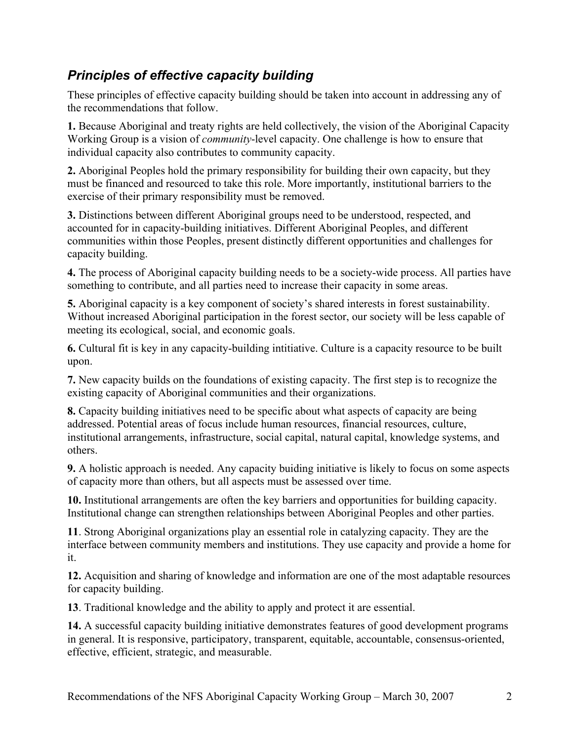## *Principles of effective capacity building*

These principles of effective capacity building should be taken into account in addressing any of the recommendations that follow.

**1.** Because Aboriginal and treaty rights are held collectively, the vision of the Aboriginal Capacity Working Group is a vision of *community*-level capacity. One challenge is how to ensure that individual capacity also contributes to community capacity.

**2.** Aboriginal Peoples hold the primary responsibility for building their own capacity, but they must be financed and resourced to take this role. More importantly, institutional barriers to the exercise of their primary responsibility must be removed.

**3.** Distinctions between different Aboriginal groups need to be understood, respected, and accounted for in capacity-building initiatives. Different Aboriginal Peoples, and different communities within those Peoples, present distinctly different opportunities and challenges for capacity building.

**4.** The process of Aboriginal capacity building needs to be a society-wide process. All parties have something to contribute, and all parties need to increase their capacity in some areas.

**5.** Aboriginal capacity is a key component of society's shared interests in forest sustainability. Without increased Aboriginal participation in the forest sector, our society will be less capable of meeting its ecological, social, and economic goals.

**6.** Cultural fit is key in any capacity-building intitiative. Culture is a capacity resource to be built upon.

**7.** New capacity builds on the foundations of existing capacity. The first step is to recognize the existing capacity of Aboriginal communities and their organizations.

**8.** Capacity building initiatives need to be specific about what aspects of capacity are being addressed. Potential areas of focus include human resources, financial resources, culture, institutional arrangements, infrastructure, social capital, natural capital, knowledge systems, and others.

**9.** A holistic approach is needed. Any capacity buiding initiative is likely to focus on some aspects of capacity more than others, but all aspects must be assessed over time.

**10.** Institutional arrangements are often the key barriers and opportunities for building capacity. Institutional change can strengthen relationships between Aboriginal Peoples and other parties.

**11**. Strong Aboriginal organizations play an essential role in catalyzing capacity. They are the interface between community members and institutions. They use capacity and provide a home for it.

**12.** Acquisition and sharing of knowledge and information are one of the most adaptable resources for capacity building.

**13**. Traditional knowledge and the ability to apply and protect it are essential.

**14.** A successful capacity building initiative demonstrates features of good development programs in general. It is responsive, participatory, transparent, equitable, accountable, consensus-oriented, effective, efficient, strategic, and measurable.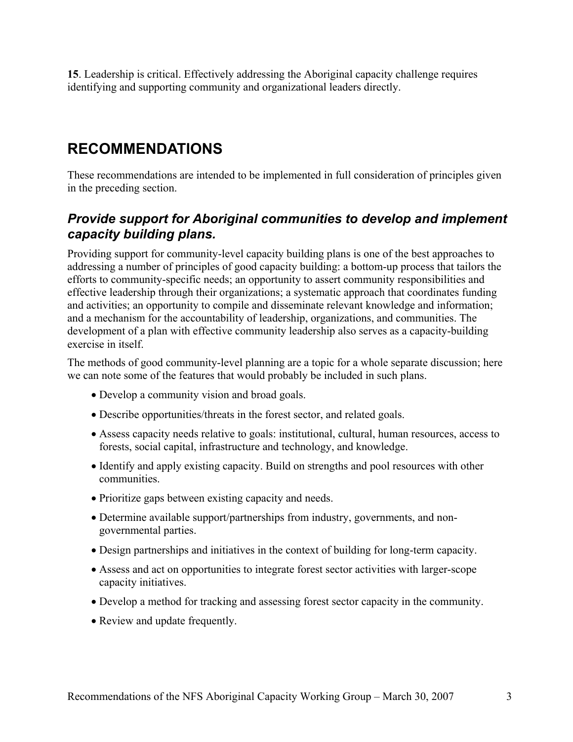**15**. Leadership is critical. Effectively addressing the Aboriginal capacity challenge requires identifying and supporting community and organizational leaders directly.

## **RECOMMENDATIONS**

These recommendations are intended to be implemented in full consideration of principles given in the preceding section.

#### *Provide support for Aboriginal communities to develop and implement capacity building plans.*

Providing support for community-level capacity building plans is one of the best approaches to addressing a number of principles of good capacity building: a bottom-up process that tailors the efforts to community-specific needs; an opportunity to assert community responsibilities and effective leadership through their organizations; a systematic approach that coordinates funding and activities; an opportunity to compile and disseminate relevant knowledge and information; and a mechanism for the accountability of leadership, organizations, and communities. The development of a plan with effective community leadership also serves as a capacity-building exercise in itself.

The methods of good community-level planning are a topic for a whole separate discussion; here we can note some of the features that would probably be included in such plans.

- Develop a community vision and broad goals.
- Describe opportunities/threats in the forest sector, and related goals.
- Assess capacity needs relative to goals: institutional, cultural, human resources, access to forests, social capital, infrastructure and technology, and knowledge.
- Identify and apply existing capacity. Build on strengths and pool resources with other communities.
- Prioritize gaps between existing capacity and needs.
- Determine available support/partnerships from industry, governments, and nongovernmental parties.
- Design partnerships and initiatives in the context of building for long-term capacity.
- Assess and act on opportunities to integrate forest sector activities with larger-scope capacity initiatives.
- Develop a method for tracking and assessing forest sector capacity in the community.
- Review and update frequently.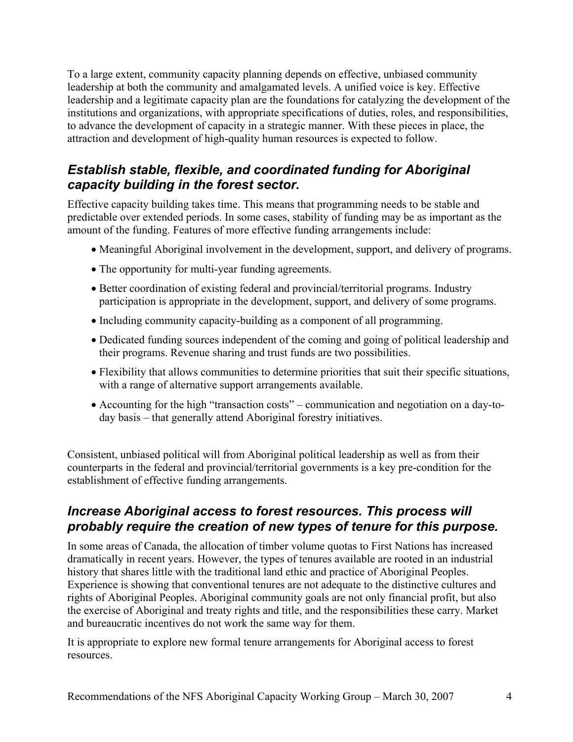To a large extent, community capacity planning depends on effective, unbiased community leadership at both the community and amalgamated levels. A unified voice is key. Effective leadership and a legitimate capacity plan are the foundations for catalyzing the development of the institutions and organizations, with appropriate specifications of duties, roles, and responsibilities, to advance the development of capacity in a strategic manner. With these pieces in place, the attraction and development of high-quality human resources is expected to follow.

## *Establish stable, flexible, and coordinated funding for Aboriginal capacity building in the forest sector.*

Effective capacity building takes time. This means that programming needs to be stable and predictable over extended periods. In some cases, stability of funding may be as important as the amount of the funding. Features of more effective funding arrangements include:

- Meaningful Aboriginal involvement in the development, support, and delivery of programs.
- The opportunity for multi-year funding agreements.
- Better coordination of existing federal and provincial/territorial programs. Industry participation is appropriate in the development, support, and delivery of some programs.
- Including community capacity-building as a component of all programming.
- Dedicated funding sources independent of the coming and going of political leadership and their programs. Revenue sharing and trust funds are two possibilities.
- Flexibility that allows communities to determine priorities that suit their specific situations, with a range of alternative support arrangements available.
- Accounting for the high "transaction costs" communication and negotiation on a day-today basis – that generally attend Aboriginal forestry initiatives.

Consistent, unbiased political will from Aboriginal political leadership as well as from their counterparts in the federal and provincial/territorial governments is a key pre-condition for the establishment of effective funding arrangements.

#### *Increase Aboriginal access to forest resources. This process will probably require the creation of new types of tenure for this purpose.*

In some areas of Canada, the allocation of timber volume quotas to First Nations has increased dramatically in recent years. However, the types of tenures available are rooted in an industrial history that shares little with the traditional land ethic and practice of Aboriginal Peoples. Experience is showing that conventional tenures are not adequate to the distinctive cultures and rights of Aboriginal Peoples. Aboriginal community goals are not only financial profit, but also the exercise of Aboriginal and treaty rights and title, and the responsibilities these carry. Market and bureaucratic incentives do not work the same way for them.

It is appropriate to explore new formal tenure arrangements for Aboriginal access to forest resources.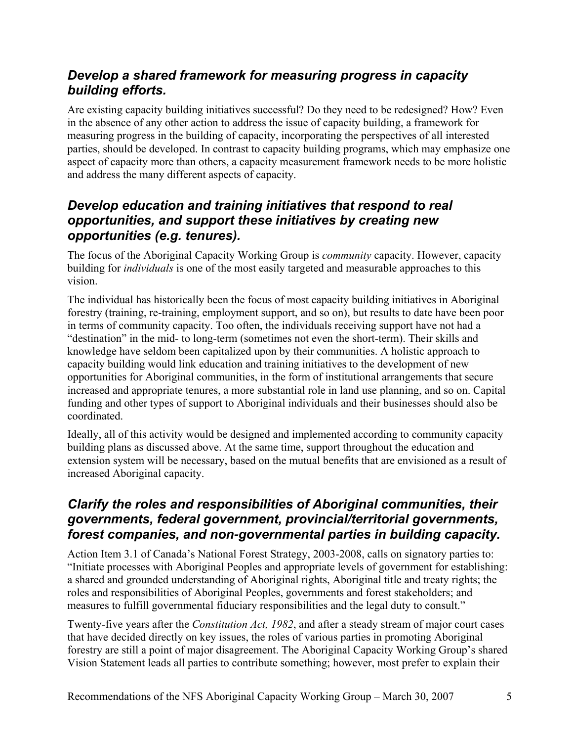## *Develop a shared framework for measuring progress in capacity building efforts.*

Are existing capacity building initiatives successful? Do they need to be redesigned? How? Even in the absence of any other action to address the issue of capacity building, a framework for measuring progress in the building of capacity, incorporating the perspectives of all interested parties, should be developed. In contrast to capacity building programs, which may emphasize one aspect of capacity more than others, a capacity measurement framework needs to be more holistic and address the many different aspects of capacity.

### *Develop education and training initiatives that respond to real opportunities, and support these initiatives by creating new opportunities (e.g. tenures).*

The focus of the Aboriginal Capacity Working Group is *community* capacity. However, capacity building for *individuals* is one of the most easily targeted and measurable approaches to this vision.

The individual has historically been the focus of most capacity building initiatives in Aboriginal forestry (training, re-training, employment support, and so on), but results to date have been poor in terms of community capacity. Too often, the individuals receiving support have not had a "destination" in the mid- to long-term (sometimes not even the short-term). Their skills and knowledge have seldom been capitalized upon by their communities. A holistic approach to capacity building would link education and training initiatives to the development of new opportunities for Aboriginal communities, in the form of institutional arrangements that secure increased and appropriate tenures, a more substantial role in land use planning, and so on. Capital funding and other types of support to Aboriginal individuals and their businesses should also be coordinated.

Ideally, all of this activity would be designed and implemented according to community capacity building plans as discussed above. At the same time, support throughout the education and extension system will be necessary, based on the mutual benefits that are envisioned as a result of increased Aboriginal capacity.

#### *Clarify the roles and responsibilities of Aboriginal communities, their governments, federal government, provincial/territorial governments, forest companies, and non-governmental parties in building capacity.*

Action Item 3.1 of Canada's National Forest Strategy, 2003-2008, calls on signatory parties to: "Initiate processes with Aboriginal Peoples and appropriate levels of government for establishing: a shared and grounded understanding of Aboriginal rights, Aboriginal title and treaty rights; the roles and responsibilities of Aboriginal Peoples, governments and forest stakeholders; and measures to fulfill governmental fiduciary responsibilities and the legal duty to consult."

Twenty-five years after the *Constitution Act, 1982*, and after a steady stream of major court cases that have decided directly on key issues, the roles of various parties in promoting Aboriginal forestry are still a point of major disagreement. The Aboriginal Capacity Working Group's shared Vision Statement leads all parties to contribute something; however, most prefer to explain their